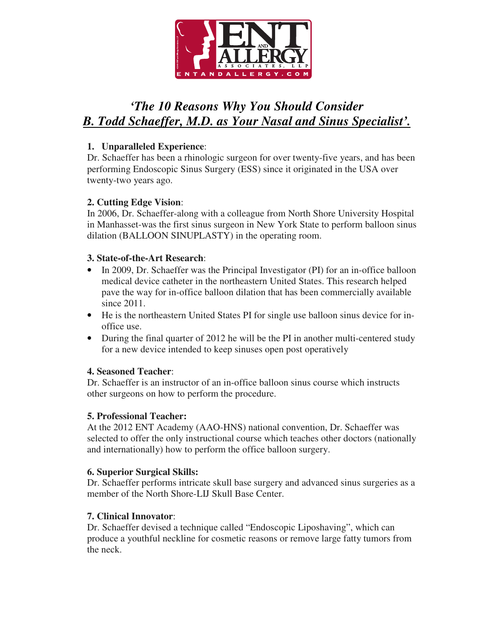

# *'The 10 Reasons Why You Should Consider B. Todd Schaeffer, M.D. as Your Nasal and Sinus Specialist'.*

## **1. Unparalleled Experience**:

Dr. Schaeffer has been a rhinologic surgeon for over twenty-five years, and has been performing Endoscopic Sinus Surgery (ESS) since it originated in the USA over twenty-two years ago.

# **2. Cutting Edge Vision**:

In 2006, Dr. Schaeffer-along with a colleague from North Shore University Hospital in Manhasset-was the first sinus surgeon in New York State to perform balloon sinus dilation (BALLOON SINUPLASTY) in the operating room.

## **3. State-of-the-Art Research**:

- In 2009, Dr. Schaeffer was the Principal Investigator (PI) for an in-office balloon medical device catheter in the northeastern United States. This research helped pave the way for in-office balloon dilation that has been commercially available since 2011.
- He is the northeastern United States PI for single use balloon sinus device for inoffice use.
- During the final quarter of 2012 he will be the PI in another multi-centered study for a new device intended to keep sinuses open post operatively

### **4. Seasoned Teacher**:

Dr. Schaeffer is an instructor of an in-office balloon sinus course which instructs other surgeons on how to perform the procedure.

### **5. Professional Teacher:**

At the 2012 ENT Academy (AAO-HNS) national convention, Dr. Schaeffer was selected to offer the only instructional course which teaches other doctors (nationally and internationally) how to perform the office balloon surgery.

### **6. Superior Surgical Skills:**

Dr. Schaeffer performs intricate skull base surgery and advanced sinus surgeries as a member of the North Shore-LIJ Skull Base Center.

# **7. Clinical Innovator**:

Dr. Schaeffer devised a technique called "Endoscopic Liposhaving", which can produce a youthful neckline for cosmetic reasons or remove large fatty tumors from the neck.